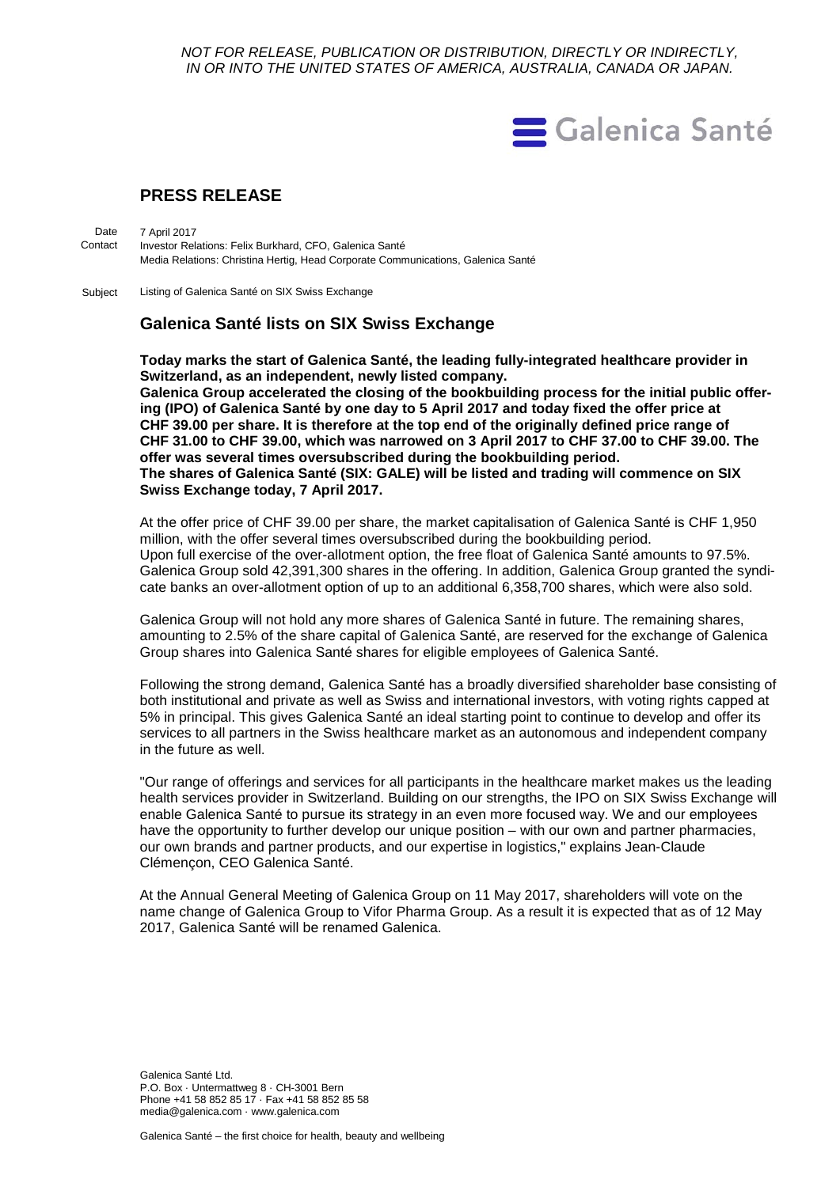*NOT FOR RELEASE, PUBLICATION OR DISTRIBUTION, DIRECTLY OR INDIRECTLY, IN OR INTO THE UNITED STATES OF AMERICA, AUSTRALIA, CANADA OR JAPAN.*



# **PRESS RELEASE**

7 April 2017 Investor Relations: Felix Burkhard, CFO, Galenica Santé Media Relations: Christina Hertig, Head Corporate Communications, Galenica Santé Date Contact

Listing of Galenica Santé on SIX Swiss Exchange Subject

## **Galenica Santé lists on SIX Swiss Exchange**

**Today marks the start of Galenica Santé, the leading fully-integrated healthcare provider in Switzerland, as an independent, newly listed company. Galenica Group accelerated the closing of the bookbuilding process for the initial public offering (IPO) of Galenica Santé by one day to 5 April 2017 and today fixed the offer price at CHF 39.00 per share. It is therefore at the top end of the originally defined price range of CHF 31.00 to CHF 39.00, which was narrowed on 3 April 2017 to CHF 37.00 to CHF 39.00. The offer was several times oversubscribed during the bookbuilding period. The shares of Galenica Santé (SIX: GALE) will be listed and trading will commence on SIX Swiss Exchange today, 7 April 2017.** 

At the offer price of CHF 39.00 per share, the market capitalisation of Galenica Santé is CHF 1,950 million, with the offer several times oversubscribed during the bookbuilding period. Upon full exercise of the over-allotment option, the free float of Galenica Santé amounts to 97.5%. Galenica Group sold 42,391,300 shares in the offering. In addition, Galenica Group granted the syndicate banks an over-allotment option of up to an additional 6,358,700 shares, which were also sold.

Galenica Group will not hold any more shares of Galenica Santé in future. The remaining shares, amounting to 2.5% of the share capital of Galenica Santé, are reserved for the exchange of Galenica Group shares into Galenica Santé shares for eligible employees of Galenica Santé.

Following the strong demand, Galenica Santé has a broadly diversified shareholder base consisting of both institutional and private as well as Swiss and international investors, with voting rights capped at 5% in principal. This gives Galenica Santé an ideal starting point to continue to develop and offer its services to all partners in the Swiss healthcare market as an autonomous and independent company in the future as well.

"Our range of offerings and services for all participants in the healthcare market makes us the leading health services provider in Switzerland. Building on our strengths, the IPO on SIX Swiss Exchange will enable Galenica Santé to pursue its strategy in an even more focused way. We and our employees have the opportunity to further develop our unique position – with our own and partner pharmacies, our own brands and partner products, and our expertise in logistics," explains Jean-Claude Clémençon, CEO Galenica Santé.

At the Annual General Meeting of Galenica Group on 11 May 2017, shareholders will vote on the name change of Galenica Group to Vifor Pharma Group. As a result it is expected that as of 12 May 2017, Galenica Santé will be renamed Galenica.

Galenica Santé Ltd. P.O. Box · Untermattweg 8 · CH-3001 Bern Phone +41 58 852 85 17 · Fax +41 58 852 85 58 media@galenica.com · www.galenica.com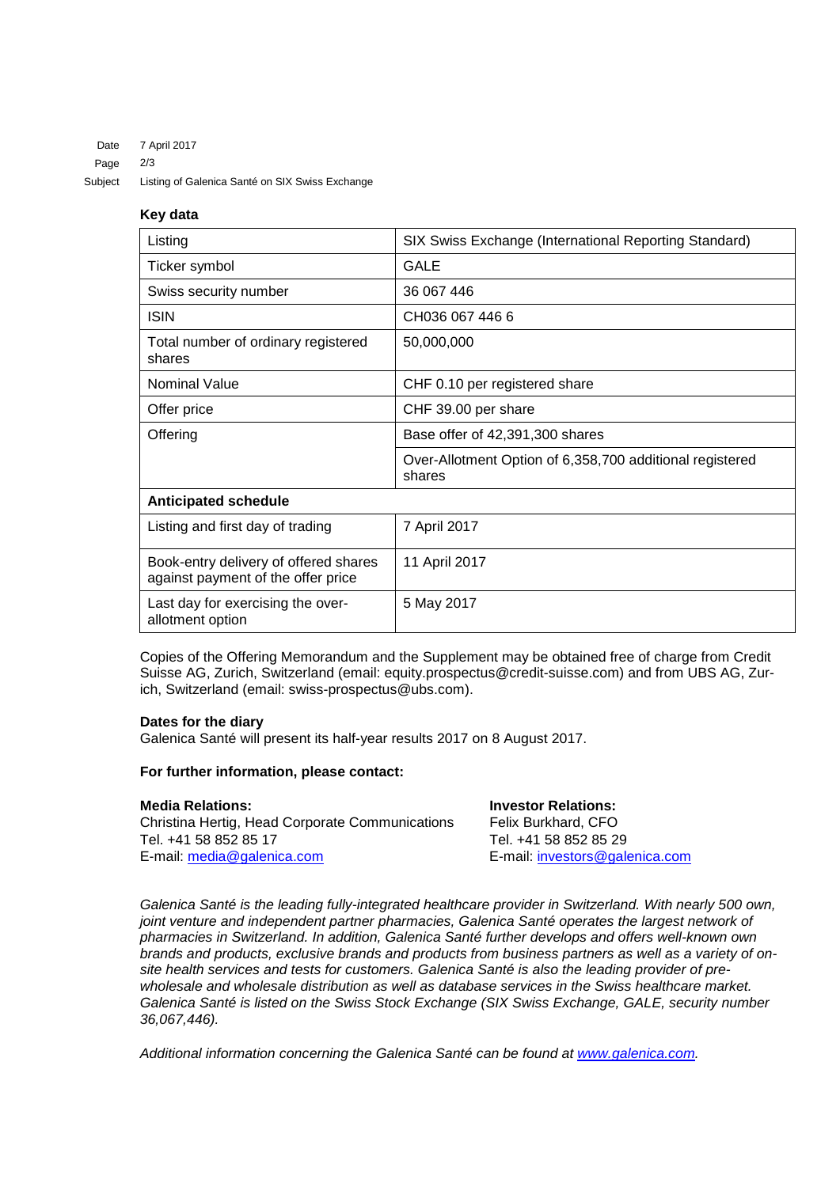7 April 2017 Date

2/3 Page

Listing of Galenica Santé on SIX Swiss Exchange Subject

### **Key data**

| Listing                                                                     | SIX Swiss Exchange (International Reporting Standard)              |  |
|-----------------------------------------------------------------------------|--------------------------------------------------------------------|--|
| Ticker symbol                                                               | <b>GALE</b>                                                        |  |
| Swiss security number                                                       | 36 067 446                                                         |  |
| <b>ISIN</b>                                                                 | CH036 067 446 6                                                    |  |
| Total number of ordinary registered<br>shares                               | 50,000,000                                                         |  |
| Nominal Value                                                               | CHF 0.10 per registered share                                      |  |
| Offer price                                                                 | CHF 39.00 per share                                                |  |
| Offering                                                                    | Base offer of 42,391,300 shares                                    |  |
|                                                                             | Over-Allotment Option of 6,358,700 additional registered<br>shares |  |
| <b>Anticipated schedule</b>                                                 |                                                                    |  |
| Listing and first day of trading                                            | 7 April 2017                                                       |  |
| Book-entry delivery of offered shares<br>against payment of the offer price | 11 April 2017                                                      |  |
| Last day for exercising the over-<br>allotment option                       | 5 May 2017                                                         |  |

Copies of the Offering Memorandum and the Supplement may be obtained free of charge from Credit Suisse AG, Zurich, Switzerland (email: equity.prospectus@credit-suisse.com) and from UBS AG, Zurich, Switzerland (email: swiss-prospectus@ubs.com).

### **Dates for the diary**

Galenica Santé will present its half-year results 2017 on 8 August 2017.

### **For further information, please contact:**

| Media Relations:                                | <b>Investor Relations:</b>     |
|-------------------------------------------------|--------------------------------|
| Christina Hertig, Head Corporate Communications | Felix Burkhard, CFO            |
| Tel. +41 58 852 85 17                           | Tel. +41 58 852 85 29          |
| E-mail: media@galenica.com                      | E-mail: investors@galenica.com |

*Galenica Santé is the leading fully-integrated healthcare provider in Switzerland. With nearly 500 own, joint venture and independent partner pharmacies, Galenica Santé operates the largest network of pharmacies in Switzerland. In addition, Galenica Santé further develops and offers well-known own brands and products, exclusive brands and products from business partners as well as a variety of onsite health services and tests for customers. Galenica Santé is also the leading provider of prewholesale and wholesale distribution as well as database services in the Swiss healthcare market. Galenica Santé is listed on the Swiss Stock Exchange (SIX Swiss Exchange, GALE, security number 36,067,446).*

*Additional information concerning the Galenica Santé can be found at [www.galenica.com.](http://www.galenica.com/en/index.php)*